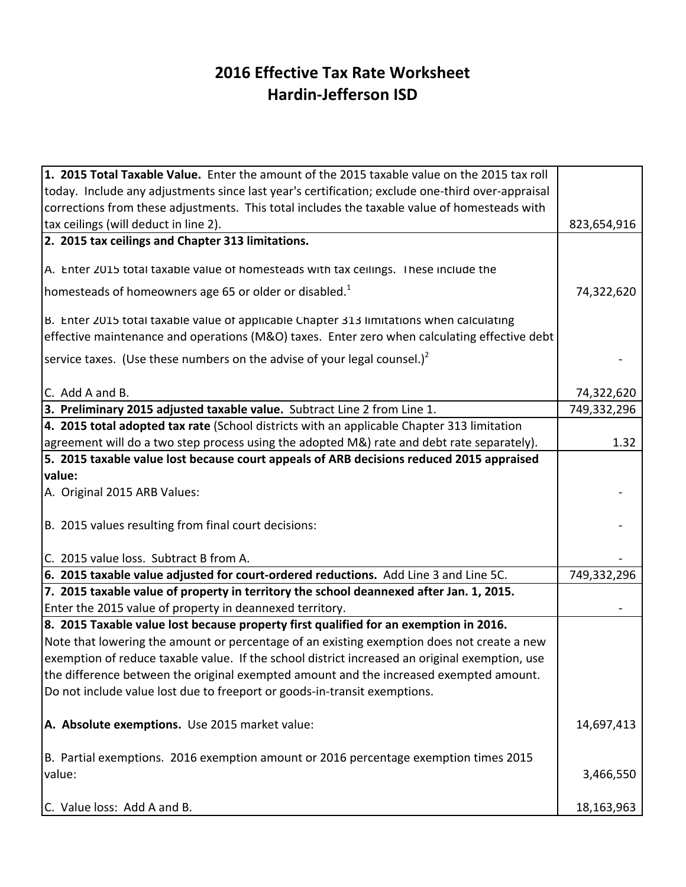## **2016 Effective Tax Rate Worksheet Hardin-Jefferson ISD**

| 1. 2015 Total Taxable Value. Enter the amount of the 2015 taxable value on the 2015 tax roll     |             |
|--------------------------------------------------------------------------------------------------|-------------|
| today. Include any adjustments since last year's certification; exclude one-third over-appraisal |             |
| corrections from these adjustments. This total includes the taxable value of homesteads with     |             |
| tax ceilings (will deduct in line 2).                                                            | 823,654,916 |
| 2. 2015 tax ceilings and Chapter 313 limitations.                                                |             |
|                                                                                                  |             |
| A. Enter 2015 total taxable value of homesteads with tax ceilings. These include the             |             |
| homesteads of homeowners age 65 or older or disabled. <sup>1</sup>                               | 74,322,620  |
| B. Enter 2015 total taxable value of applicable Chapter 313 limitations when calculating         |             |
| effective maintenance and operations (M&O) taxes. Enter zero when calculating effective debt     |             |
| service taxes. (Use these numbers on the advise of your legal counsel.) <sup>2</sup>             |             |
| C. Add A and B.                                                                                  | 74,322,620  |
| 3. Preliminary 2015 adjusted taxable value. Subtract Line 2 from Line 1.                         | 749,332,296 |
| 4. 2015 total adopted tax rate (School districts with an applicable Chapter 313 limitation       |             |
| agreement will do a two step process using the adopted M&) rate and debt rate separately).       | 1.32        |
| 5. 2015 taxable value lost because court appeals of ARB decisions reduced 2015 appraised         |             |
| value:                                                                                           |             |
| A. Original 2015 ARB Values:                                                                     |             |
|                                                                                                  |             |
| B. 2015 values resulting from final court decisions:                                             |             |
| C. 2015 value loss. Subtract B from A.                                                           |             |
| 6. 2015 taxable value adjusted for court-ordered reductions. Add Line 3 and Line 5C.             | 749,332,296 |
| 7. 2015 taxable value of property in territory the school deannexed after Jan. 1, 2015.          |             |
| Enter the 2015 value of property in deannexed territory.                                         |             |
| 8. 2015 Taxable value lost because property first qualified for an exemption in 2016.            |             |
| Note that lowering the amount or percentage of an existing exemption does not create a new       |             |
| exemption of reduce taxable value. If the school district increased an original exemption, use   |             |
| the difference between the original exempted amount and the increased exempted amount.           |             |
| Do not include value lost due to freeport or goods-in-transit exemptions.                        |             |
|                                                                                                  |             |
| A. Absolute exemptions. Use 2015 market value:                                                   | 14,697,413  |
| B. Partial exemptions. 2016 exemption amount or 2016 percentage exemption times 2015             |             |
| value:                                                                                           | 3,466,550   |
|                                                                                                  |             |
| C. Value loss: Add A and B.                                                                      | 18,163,963  |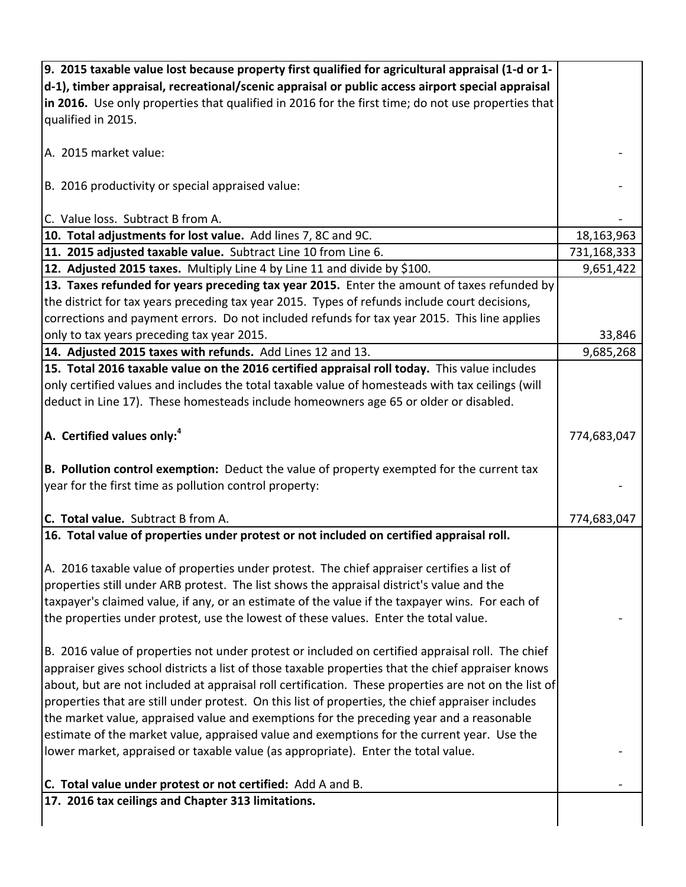| 9. 2015 taxable value lost because property first qualified for agricultural appraisal (1-d or 1-                                                                               |             |
|---------------------------------------------------------------------------------------------------------------------------------------------------------------------------------|-------------|
| d-1), timber appraisal, recreational/scenic appraisal or public access airport special appraisal                                                                                |             |
| in 2016. Use only properties that qualified in 2016 for the first time; do not use properties that                                                                              |             |
| qualified in 2015.                                                                                                                                                              |             |
| A. 2015 market value:                                                                                                                                                           |             |
| B. 2016 productivity or special appraised value:                                                                                                                                |             |
| C. Value loss. Subtract B from A.                                                                                                                                               |             |
| 10. Total adjustments for lost value. Add lines 7, 8C and 9C.                                                                                                                   | 18,163,963  |
| 11. 2015 adjusted taxable value. Subtract Line 10 from Line 6.                                                                                                                  | 731,168,333 |
| 12. Adjusted 2015 taxes. Multiply Line 4 by Line 11 and divide by \$100.                                                                                                        | 9,651,422   |
| 13. Taxes refunded for years preceding tax year 2015. Enter the amount of taxes refunded by                                                                                     |             |
| the district for tax years preceding tax year 2015. Types of refunds include court decisions,                                                                                   |             |
| corrections and payment errors. Do not included refunds for tax year 2015. This line applies                                                                                    |             |
| only to tax years preceding tax year 2015.                                                                                                                                      | 33,846      |
| 14. Adjusted 2015 taxes with refunds. Add Lines 12 and 13.                                                                                                                      | 9,685,268   |
| 15. Total 2016 taxable value on the 2016 certified appraisal roll today. This value includes                                                                                    |             |
| only certified values and includes the total taxable value of homesteads with tax ceilings (will                                                                                |             |
| deduct in Line 17). These homesteads include homeowners age 65 or older or disabled.                                                                                            |             |
|                                                                                                                                                                                 |             |
| $A.$ Certified values only: <sup>4</sup>                                                                                                                                        | 774,683,047 |
| B. Pollution control exemption: Deduct the value of property exempted for the current tax<br>year for the first time as pollution control property:                             |             |
|                                                                                                                                                                                 |             |
| C. Total value. Subtract B from A.                                                                                                                                              | 774,683,047 |
| 16. Total value of properties under protest or not included on certified appraisal roll.                                                                                        |             |
|                                                                                                                                                                                 |             |
| A. 2016 taxable value of properties under protest. The chief appraiser certifies a list of                                                                                      |             |
| properties still under ARB protest. The list shows the appraisal district's value and the                                                                                       |             |
| taxpayer's claimed value, if any, or an estimate of the value if the taxpayer wins. For each of                                                                                 |             |
| the properties under protest, use the lowest of these values. Enter the total value.                                                                                            |             |
|                                                                                                                                                                                 |             |
| B. 2016 value of properties not under protest or included on certified appraisal roll. The chief                                                                                |             |
| appraiser gives school districts a list of those taxable properties that the chief appraiser knows                                                                              |             |
| about, but are not included at appraisal roll certification. These properties are not on the list of                                                                            |             |
| properties that are still under protest. On this list of properties, the chief appraiser includes                                                                               |             |
| the market value, appraised value and exemptions for the preceding year and a reasonable                                                                                        |             |
| estimate of the market value, appraised value and exemptions for the current year. Use the<br>lower market, appraised or taxable value (as appropriate). Enter the total value. |             |
| C. Total value under protest or not certified: Add A and B.                                                                                                                     |             |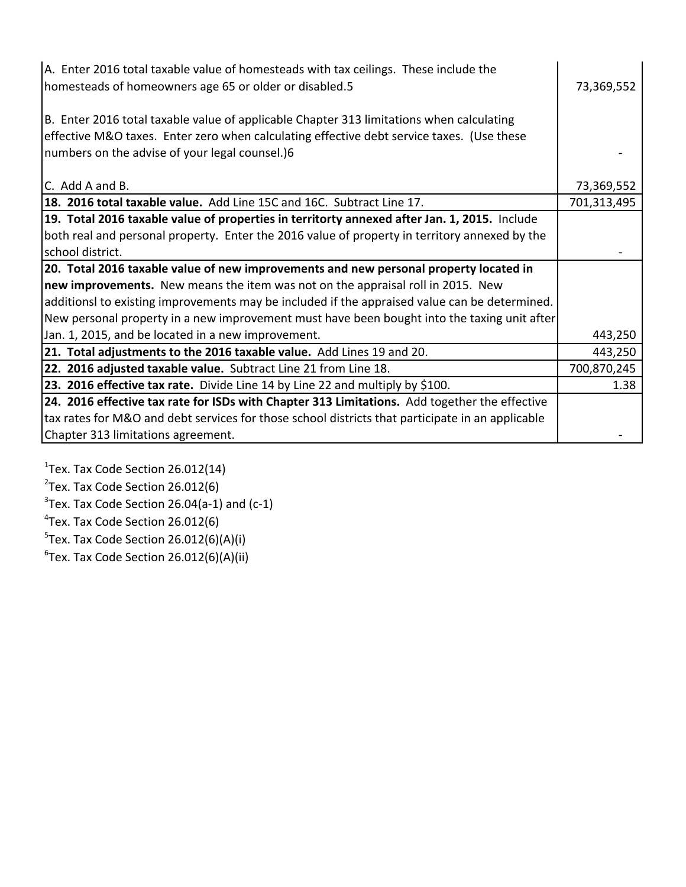| A. Enter 2016 total taxable value of homesteads with tax ceilings. These include the<br>homesteads of homeowners age 65 or older or disabled.5 | 73,369,552  |
|------------------------------------------------------------------------------------------------------------------------------------------------|-------------|
| B. Enter 2016 total taxable value of applicable Chapter 313 limitations when calculating                                                       |             |
| effective M&O taxes. Enter zero when calculating effective debt service taxes. (Use these                                                      |             |
| numbers on the advise of your legal counsel.)6                                                                                                 |             |
|                                                                                                                                                |             |
| C. Add A and B.                                                                                                                                | 73,369,552  |
| 18. 2016 total taxable value. Add Line 15C and 16C. Subtract Line 17.                                                                          | 701,313,495 |
| 19. Total 2016 taxable value of properties in territorty annexed after Jan. 1, 2015. Include                                                   |             |
| both real and personal property. Enter the 2016 value of property in territory annexed by the                                                  |             |
| school district.                                                                                                                               |             |
| 20. Total 2016 taxable value of new improvements and new personal property located in                                                          |             |
| new improvements. New means the item was not on the appraisal roll in 2015. New                                                                |             |
| additionsl to existing improvements may be included if the appraised value can be determined.                                                  |             |
| New personal property in a new improvement must have been bought into the taxing unit after                                                    |             |
| Jan. 1, 2015, and be located in a new improvement.                                                                                             | 443,250     |
| 21. Total adjustments to the 2016 taxable value. Add Lines 19 and 20.                                                                          | 443,250     |
| 22. 2016 adjusted taxable value. Subtract Line 21 from Line 18.                                                                                | 700,870,245 |
| 23. 2016 effective tax rate. Divide Line 14 by Line 22 and multiply by \$100.                                                                  | 1.38        |
| 24. 2016 effective tax rate for ISDs with Chapter 313 Limitations. Add together the effective                                                  |             |
| tax rates for M&O and debt services for those school districts that participate in an applicable                                               |             |
| Chapter 313 limitations agreement.                                                                                                             |             |

Tex. Tax Code Section 26.012(14) Tex. Tax Code Section 26.012(6) Tex. Tax Code Section 26.04(a-1) and (c-1) <sup>4</sup>Tex. Tax Code Section 26.012(6) Tex. Tax Code Section 26.012(6)(A)(i)

 ${}^{6}$ Tex. Tax Code Section 26.012(6)(A)(ii)